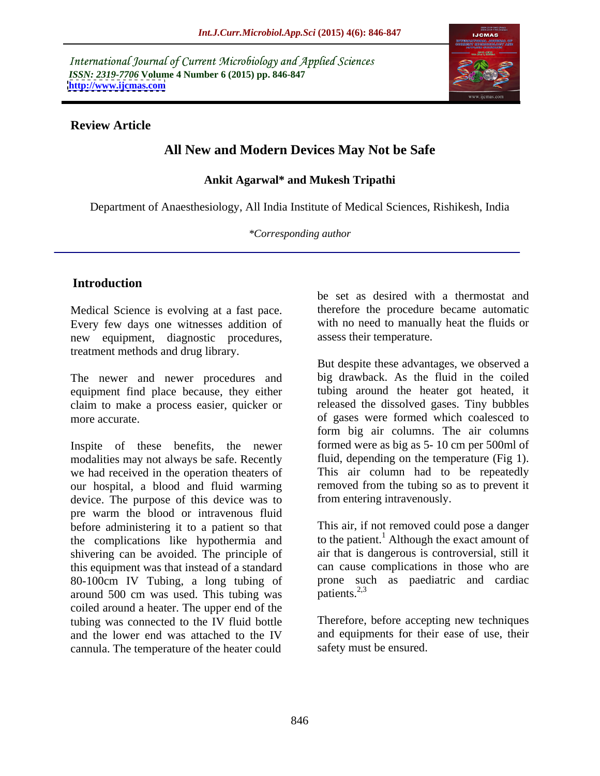International Journal of Current Microbiology and Applied Sciences *ISSN: 2319-7706* **Volume 4 Number 6 (2015) pp. 846-847 <http://www.ijcmas.com>**



#### **Review Article**

# **All New and Modern Devices May Not be Safe**

### **Ankit Agarwal\* and Mukesh Tripathi**

Department of Anaesthesiology, All India Institute of Medical Sciences, Rishikesh, India

*\*Corresponding author*

## **Introduction**

Medical Science is evolving at a fast pace. Every few days one witnesses addition of new equipment, diagnostic procedures, treatment methods and drug library.

The newer and newer procedures and equipment find place because, they either claim to make a process easier, quicker or

Inspite of these benefits, the newer modalities may not always be safe. Recently we had received in the operation theaters of our hospital, a blood and fluid warming device. The purpose of this device was to pre warm the blood or intravenous fluid before administering it to a patient so that the complications like hypothermia and shivering can be avoided. The principle of this equipment was that instead of a standard 80-100cm IV Tubing, a long tubing of prone succession around 500 cm was used. This tubing was patients.<sup>2,3</sup> around 500 cm was used. This tubing was coiled around a heater. The upper end of the tubing was connected to the IV fluid bottle and the lower end was attached to the IV cannula. The temperature of the heater could

be set as desired with a thermostat and therefore the procedure became automatic with no need to manually heat the fluids or assess their temperature.

more accurate. of gases were formed which coalesced to But despite these advantages, we observed a big drawback. As the fluid in the coiled tubing around the heater got heated, it released the dissolved gases. Tiny bubbles form big air columns. The air columns formed were as big as 5- 10 cm per 500ml of fluid, depending on the temperature (Fig 1). This air column had to be repeatedly removed from the tubing so as to prevent it from entering intravenously.

> This air, if not removed could pose a danger to the patient.<sup>1</sup> Although the exact amount of air that is dangerous is controversial, still it can cause complications in those who are prone such as paediatric and cardiac  $\frac{1}{2}$  patients.<sup>2,3</sup>

Therefore, before accepting new techniques and equipments for their ease of use, their safety must be ensured.